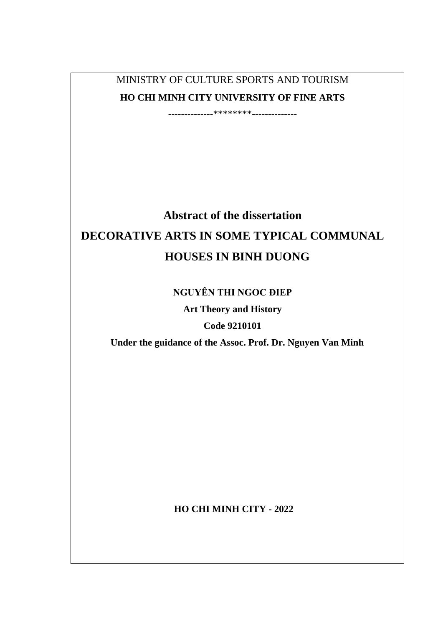MINISTRY OF CULTURE SPORTS AND TOURISM **HO CHI MINH CITY UNIVERSITY OF FINE ARTS**

--------------\*\*\*\*\*\*\*\*--------------

# **Abstract of the dissertation DECORATIVE ARTS IN SOME TYPICAL COMMUNAL HOUSES IN BINH DUONG**

# **NGUYÊN THI NGOC ĐIEP**

**Art Theory and History** 

**Code 9210101**

**Under the guidance of the Assoc. Prof. Dr. Nguyen Van Minh**

**HO CHI MINH CITY - 2022**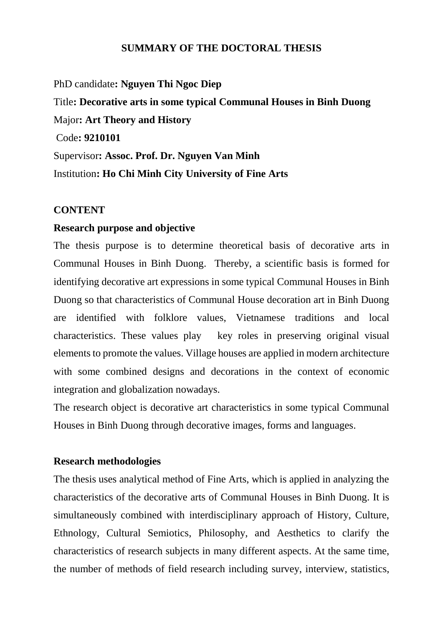# **SUMMARY OF THE DOCTORAL THESIS**

PhD candidate**: Nguyen Thi Ngoc Diep** Title**: Decorative arts in some typical Communal Houses in Binh Duong** Major**: Art Theory and History** Code**: 9210101** Supervisor**: Assoc. Prof. Dr. Nguyen Van Minh** Institution**: Ho Chi Minh City University of Fine Arts**

#### **CONTENT**

#### **Research purpose and objective**

The thesis purpose is to determine theoretical basis of decorative arts in Communal Houses in Binh Duong. Thereby, a scientific basis is formed for identifying decorative art expressions in some typical Communal Houses in Binh Duong so that characteristics of Communal House decoration art in Binh Duong are identified with folklore values, Vietnamese traditions and local characteristics. These values play key roles in preserving original visual elements to promote the values. Village houses are applied in modern architecture with some combined designs and decorations in the context of economic integration and globalization nowadays.

The research object is decorative art characteristics in some typical Communal Houses in Binh Duong through decorative images, forms and languages.

# **Research methodologies**

The thesis uses analytical method of Fine Arts, which is applied in analyzing the characteristics of the decorative arts of Communal Houses in Binh Duong. It is simultaneously combined with interdisciplinary approach of History, Culture, Ethnology, Cultural Semiotics, Philosophy, and Aesthetics to clarify the characteristics of research subjects in many different aspects. At the same time, the number of methods of field research including survey, interview, statistics,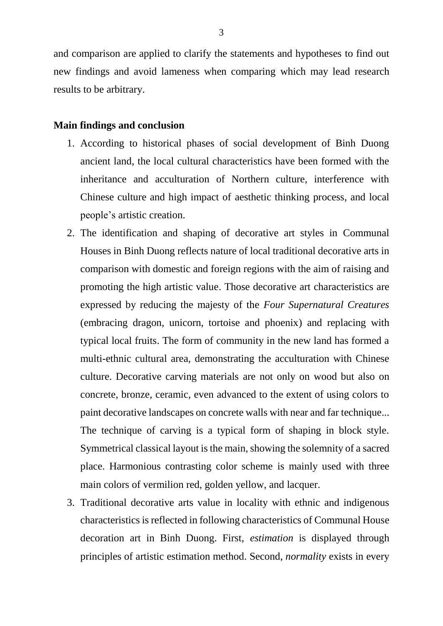and comparison are applied to clarify the statements and hypotheses to find out new findings and avoid lameness when comparing which may lead research results to be arbitrary.

## **Main findings and conclusion**

- 1. According to historical phases of social development of Binh Duong ancient land, the local cultural characteristics have been formed with the inheritance and acculturation of Northern culture, interference with Chinese culture and high impact of aesthetic thinking process, and local people's artistic creation.
- 2. The identification and shaping of decorative art styles in Communal Houses in Binh Duong reflects nature of local traditional decorative arts in comparison with domestic and foreign regions with the aim of raising and promoting the high artistic value. Those decorative art characteristics are expressed by reducing the majesty of the *Four Supernatural Creatures* (embracing dragon, unicorn, tortoise and phoenix) and replacing with typical local fruits. The form of community in the new land has formed a multi-ethnic cultural area, demonstrating the acculturation with Chinese culture. Decorative carving materials are not only on wood but also on concrete, bronze, ceramic, even advanced to the extent of using colors to paint decorative landscapes on concrete walls with near and far technique... The technique of carving is a typical form of shaping in block style. Symmetrical classical layout is the main, showing the solemnity of a sacred place. Harmonious contrasting color scheme is mainly used with three main colors of vermilion red, golden yellow, and lacquer.
- 3. Traditional decorative arts value in locality with ethnic and indigenous characteristics is reflected in following characteristics of Communal House decoration art in Binh Duong. First, *estimation* is displayed through principles of artistic estimation method. Second, *normality* exists in every